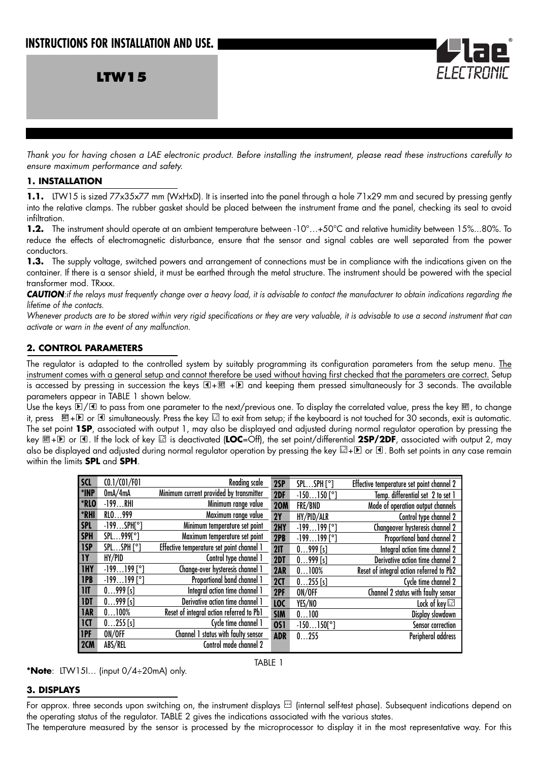**LTW15**

*Thank you for having chosen a LAE electronic product. Before installing the instrument, please read these instructions carefully to ensure maximum performance and safety.*

#### **1. INSTALLATION**

1.1. LTW15 is sized 77x35x77 mm (WxHxD). It is inserted into the panel through a hole 71x29 mm and secured by pressing gently into the relative clamps. The rubber gasket should be placed between the instrument frame and the panel, checking its seal to avoid infiltration.

1.2. The instrument should operate at an ambient temperature between -10°...+50°C and relative humidity between 15%...80%. To reduce the effects of electromagnetic disturbance, ensure that the sensor and signal cables are well separated from the power conductors.

**1.3.** The supply voltage, switched powers and arrangement of connections must be in compliance with the indications given on the container. If there is a sensor shield, it must be earthed through the metal structure. The instrument should be powered with the special transformer mod. TRxxx.

**CAUTION**: if the relays must frequently change over a heavy load, it is advisable to contact the manufacturer to obtain indications regarding the *lifetime of the contacts.*

*Whenever products are to be stored within very rigid specifications or they are very valuable, it is advisable to use a second instrument that can activate or warn in the event of any malfunction.*

# **2. CONTROL PARAMETERS**

The regulator is adapted to the controlled system by suitably programming its configuration parameters from the setup menu. The instrument comes with a general setup and cannot therefore be used without having first checked that the parameters are correct. Setup is accessed by pressing in succession the keys + + and keeping them pressed simultaneously for 3 seconds. The available **SET** parameters appear in TABLE 1 shown below.

Use the keys D/L1 to pass from one parameter to the next/previous one. To display the correlated value, press the key <u>আ,</u> to change it, press + or simultaneously. Press the key to exit from setup; if the keyboard is not touched for 30 seconds, exit is automatic. **SET** The set point **1SP**, associated with output 1, may also be displayed and adjusted during normal regulator operation by pressing the key + or . If the lock of key is deactivated (**LOC**=Off), the set point/differential **2SP/2DF**, associated with output 2, may **SET** also be displayed and adjusted during normal regulator operation by pressing the key  $\boxtimes + \text{D}$  or  $\Box$ . Both set points in any case remain within the limits **SPL** and **SPH**.

| <b>SCL</b>              | CO.1 / CO1 / FO1    | Reading scale                             | 2SP            | SPLSPH [°]          | Effective temperature set point channel 2 |
|-------------------------|---------------------|-------------------------------------------|----------------|---------------------|-------------------------------------------|
| *INP                    | 0mA/4mA             | Minimum current provided by transmitter   | 2DF            | $-150150$ [°]       | Temp. differential set 2 to set 1         |
| *RLO                    | $-199$ RHI          | Minimum range value                       | <b>20M</b>     | FRE/BND             | Mode of operation output channels         |
| *RHI                    | RLO999              | Maximum range value                       | 2Y             | HY/PID/ALR          | Control type channel 2                    |
| <b>SPL</b>              | $-199SPH[^{\circ}]$ | Minimum temperature set point             | 2HY            | $-199199$ [°]       | Changeover hysteresis channel 2           |
| <b>SPH</b>              | SPL999[°]           | Maximum temperature set point             | 2PB            | $-199199$ [°]       | Proportional band channel 2               |
| 1SP                     | SPLSPH [°]          | Effective temperature set point channel 1 | 21T            | $0999$ [s]          | Integral action time channel 2            |
| <b>IY</b>               | HY/PID              | Control type channel 1                    | 2DT            | $0999$ [s]          | Derivative action time channel 2          |
| <b>IHY</b>              | $-199199$ [°]       | Change-over hysteresis channel 1          | 2AR            | 0100%               | Reset of integral action referred to Pb2  |
| <b>IPB</b>              | $-199199$ [°]       | Proportional band channel 1               | 2 <sub>1</sub> | $0255$ [s]          | Cycle time channel 2                      |
| $\overline{\mathsf{I}}$ | $0999$ [s]          | Integral action time channel 1            | 2PF            | ON/OFF              | Channel 2 status with faulty sensor       |
| 1DT                     | $0999$ [s]          | Derivative action time channel 1          | LOC            | YES/NO              | Lock of key                               |
| <b>IAR</b>              | 0100%               | Reset of integral action referred to Pb1  | <b>SIM</b>     | 0100                | Display slowdown                          |
| <b>ICT</b>              | $0255$ [s]          | Cycle time channel 1                      | <b>0S1</b>     | $-150150[^{\circ}]$ | Sensor correction                         |
| 1PF                     | ON/OFF              | Channel 1 status with faulty sensor       | <b>ADR</b>     | 0255                | Peripheral address                        |
| 2CM                     | ABS/REL             | Control mode channel 2                    |                |                     |                                           |

**\*Note**: LTW15I… (input 0/4÷20mA) only.

TABLE 1

# **3. DISPLAYS**



For approx. three seconds upon switching on, the instrument displays  $\Box$  (internal self-test phase). Subsequent indications depend on the operating status of the regulator. TABLE 2 gives the indications associated with the various states.

The temperature measured by the sensor is processed by the microprocessor to display it in the most representative way. For this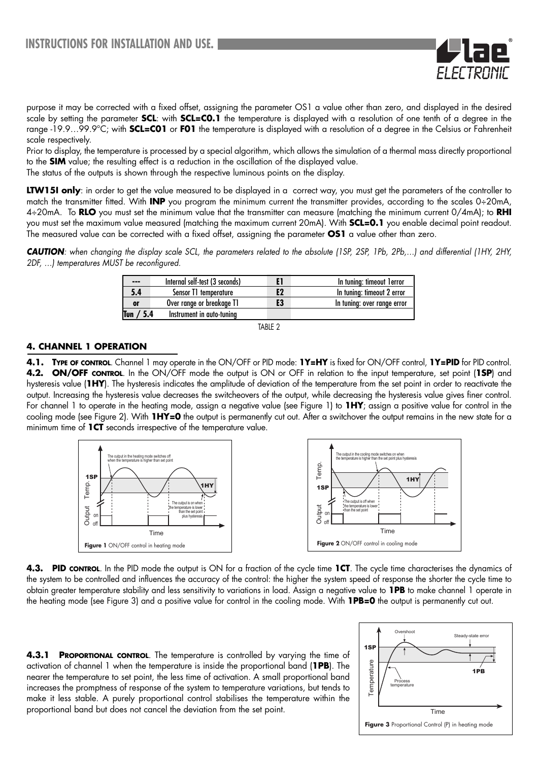

Prior to display, the temperature is processed by a special algorithm, which allows the simulation of a thermal mass directly proportional to the **SIM** value; the resulting effect is a reduction in the oscillation of the displayed value.

The status of the outputs is shown through the respective luminous points on the display.

**LTW15I only**: in order to get the value measured to be displayed in a correct way, you must get the parameters of the controller to match the transmitter fitted. With **INP** you program the minimum current the transmitter provides, according to the scales 0÷20mA, 4÷20mA. To **RLO** you must set the minimum value that the transmitter can measure (matching the minimum current 0/4mA); to **RHI** you must set the maximum value measured (matching the maximum current 20mA). With **SCL=0.1** you enable decimal point readout. The measured value can be corrected with a fixed offset, assigning the parameter **OS1** a value other than zero.

*CAUTION: when changing the display scale SCL, the parameters related to the absolute (1SP, 2SP, 1Pb, 2Pb,…) and differential (1HY, 2HY, 2DF, …) temperatures MUST be reconfigured.*

| $- - -$      | Internal self-test (3 seconds) |    | In tuning: timeout lerror   |
|--------------|--------------------------------|----|-----------------------------|
| 5.4          | Sensor T1 temperature          | E2 | In tuning: timeout 2 error  |
| or           | Over range or breakage T1      | E3 | In tuning: over range error |
| / 5.4<br>Tun | Instrument in auto-tuning      |    |                             |



#### **4. CHANNEL 1 OPERATION**

**4.1. TYPE OF CONTROL**. Channel 1 may operate in the ON/OFF or PID mode: **1Y=HY** is fixed for ON/OFF control, **1Y=PID** for PID control. **4.2. ON/OFF CONTROL**. In the ON/OFF mode the output is ON or OFF in relation to the input temperature, set point (**1SP**) and hysteresis value (**1HY**). The hysteresis indicates the amplitude of deviation of the temperature from the set point in order to reactivate the output. Increasing the hysteresis value decreases the switcheovers of the output, while decreasing the hysteresis value gives finer control. For channel 1 to operate in the heating mode, assign a negative value (see Figure 1) to **1HY**; assign a positive value for control in the cooling mode (see Figure 2). With **1HY=0** the output is permanently cut out. After a switchover the output remains in the new state for a minimum time of **1CT** seconds irrespective of the temperature value.



**4.3. PID CONTROL**. In the PID mode the output is ON for a fraction of the cycle time **1CT**. The cycle time characterises the dynamics of the system to be controlled and influences the accuracy of the control: the higher the system speed of response the shorter the cycle time to obtain greater temperature stability and less sensitivity to variations in load. Assign a negative value to **1PB** to make channel 1 operate in the heating mode (see Figure 3) and a positive value for control in the cooling mode. With **1PB=0** the output is permanently cut out.

**4.3.1 PROPORTIONAL CONTROL**. The temperature is controlled by varying the time of activation of channel 1 when the temperature is inside the proportional band (**1PB**). The nearer the temperature to set point, the less time of activation. A small proportional band increases the promptness of response of the system to temperature variations, but tends to make it less stable. A purely proportional control stabilises the temperature within the proportional band but does not cancel the deviation from the set point.

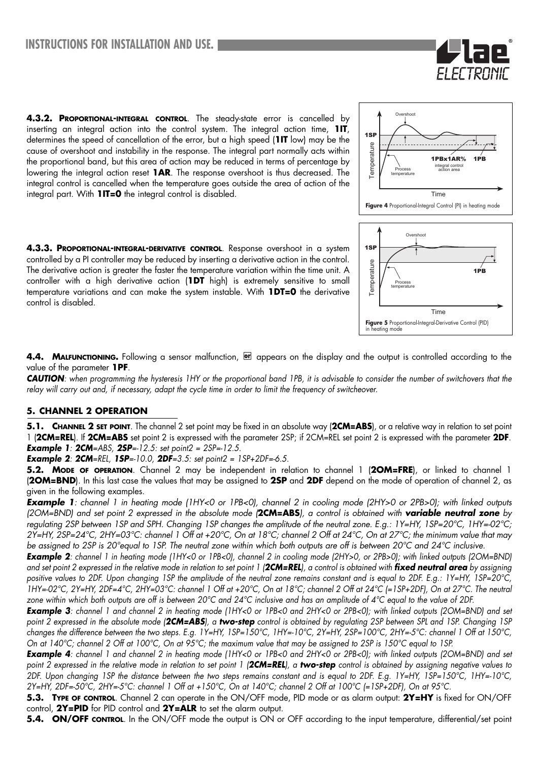**4.3.2. PROPORTIONAL-INTEGRAL CONTROL**. The steady-state error is cancelled by inserting an integral action into the control system. The integral action time, **1IT**, determines the speed of cancellation of the error, but a high speed (**1IT** low) may be the cause of overshoot and instability in the response. The integral part normally acts within the proportional band, but this area of action may be reduced in terms of percentage by lowering the integral action reset **1AR**. The response overshoot is thus decreased. The integral control is cancelled when the temperature goes outside the area of action of the integral part. With **1IT=0** the integral control is disabled.

**4.3.3. PROPORTIONAL-INTEGRAL-DERIVATIVE CONTROL**. Response overshoot in a system controlled by a PI controller may be reduced by inserting a derivative action in the control. The derivative action is greater the faster the temperature variation within the time unit. A controller with a high derivative action (**1DT** high) is extremely sensitive to small temperature variations and can make the system instable. With **1DT=0** the derivative control is disabled.



FI FI TRIT

Time

**Figure 5** Proportional-Integral-Derivative Control (PID)<br>in heating mode

4.4. MALFUNCTIONING. Following a sensor malfunction, **on** appears on the display and the output is controlled according to the value of the parameter **1PF**.

*CAUTION: when programming the hysteresis 1HY or the proportional band 1PB, it is advisable to consider the number of switchovers that the relay will carry out and, if necessary, adapt the cycle time in order to limit the frequency of switcheover.*

### **5. CHANNEL 2 OPERATION**

**5.1. CHANNEL 2 SET POINT**. The channel 2 set point may be fixed in an absolute way (**2CM=ABS**), or a relative way in relation to set point 1 (**2CM=REL**). If **2CM=ABS** set point 2 is expressed with the parameter 2SP; if 2CM=REL set point 2 is expressed with the parameter **2DF**. *Example 1: 2CM=ABS, 2SP=-12.5: set point2 = 2SP=-12.5.* 

*Example 2: 2CM=REL, 1SP=-10.0, 2DF=3.5: set point2 = 1SP+2DF=-6.5.* 

**5.2. MODE OF OPERATION**. Channel 2 may be independent in relation to channel 1 (**2OM=FRE**), or linked to channel 1 (**2OM=BND**). In this last case the values that may be assigned to **2SP** and **2DF** depend on the mode of operation of channel 2, as given in the following examples.

*Example 1: channel 1 in heating mode (1HY<0 or 1PB<0), channel 2 in cooling mode (2HY>0 or 2PB>0); with linked outputs (2OM=BND) and set point 2 expressed in the absolute mode (***2CM=ABS***), a control is obtained with variable neutral zone by regulating 2SP between 1SP and SPH. Changing 1SP changes the amplitude of the neutral zone. E.g.: 1Y=HY, 1SP=20°C, 1HY=-02°C; 2Y=HY, 2SP=24°C, 2HY=03°C: channel 1 Off at +20°C, On at 18°C; channel 2 Off at 24°C, On at 27°C; the minimum value that may be assigned to 2SP is 20°equal to 1SP. The neutral zone within which both outputs are off is between 20°C and 24°C inclusive.*

*Example 2: channel 1 in heating mode (1HY<0 or 1PB<0), channel 2 in cooling mode (2HY>0, or 2PB>0); with linked outputs (2OM=BND) and set point 2 expressed in the relative mode in relation to set point 1 (2CM=REL), a control is obtained with fixed neutral area by assigning positive values to 2DF. Upon changing 1SP the amplitude of the neutral zone remains constant and is equal to 2DF. E.g.: 1Y=HY, 1SP=20°C, 1HY=-02°C, 2Y=HY, 2DF=4°C, 2HY=03°C: channel 1 Off at +20°C, On at 18°C; channel 2 Off at 24°C (=1SP+2DF), On at 27°C. The neutral zone within which both outputs are off is between 20°C and 24°C inclusive and has an amplitude of 4°C equal to the value of 2DF.*

*Example 3: channel 1 and channel 2 in heating mode (1HY<0 or 1PB<0 and 2HY<0 or 2PB<0); with linked outputs (2OM=BND) and set point 2 expressed in the absolute mode (2CM=ABS), a two-step control is obtained by regulating 2SP between SPL and 1SP. Changing 1SP changes the difference between the two steps. E.g. 1Y=HY, 1SP=150°C, 1HY=-10°C, 2Y=HY, 2SP=100°C, 2HY=-5°C: channel 1 Off at 150°C, On at 140°C; channel 2 Off at 100°C, On at 95°C; the maximum value that may be assigned to 2SP is 150°C equal to 1SP.*

*Example 4: channel 1 and channel 2 in heating mode (1HY<0 or 1PB<0 and 2HY<0 or 2PB<0); with linked outputs (2OM=BND) and set point 2 expressed in the relative mode in relation to set point 1 (2CM=REL), a two-step control is obtained by assigning negative values to 2DF. Upon changing 1SP the distance between the two steps remains constant and is equal to 2DF. E.g. 1Y=HY, 1SP=150°C, 1HY=-10°C, 2Y=HY, 2DF=-50°C, 2HY=-5°C: channel 1 Off at +150°C, On at 140°C; channel 2 Off at 100°C (=1SP+2DF), On at 95°C.* 

**5.3. TYPE OF CONTROL**. Channel 2 can operate in the ON/OFF mode, PID mode or as alarm output: **2Y=HY** is fixed for ON/OFF control, **2Y=PID** for PID control and **2Y=ALR** to set the alarm output.

**5.4. ON/OFF CONTROL**. In the ON/OFF mode the output is ON or OFF according to the input temperature, differential/set point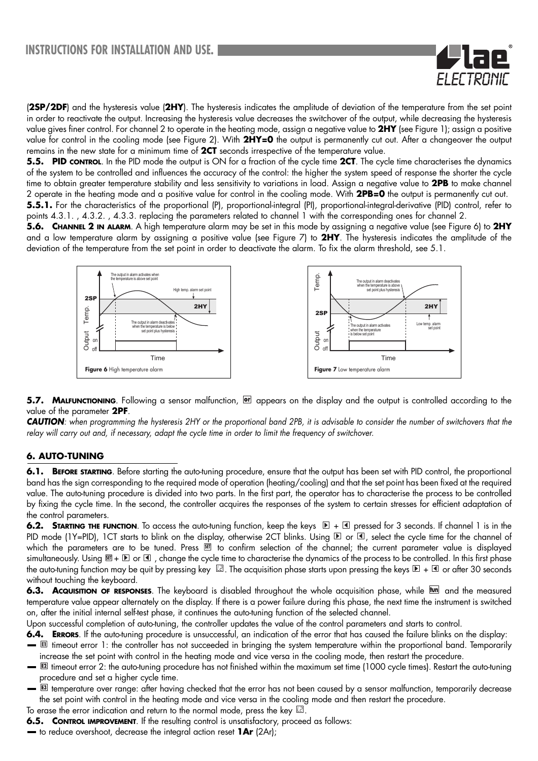

(**2SP/2DF**) and the hysteresis value (**2HY**). The hysteresis indicates the amplitude of deviation of the temperature from the set point in order to reactivate the output. Increasing the hysteresis value decreases the switchover of the output, while decreasing the hysteresis value gives finer control. For channel 2 to operate in the heating mode, assign a negative value to **2HY** (see Figure 1); assign a positive value for control in the cooling mode (see Figure 2). With **2HY=0** the output is permanently cut out. After a changeover the output remains in the new state for a minimum time of **2CT** seconds irrespective of the temperature value.

**5.5. PID CONTROL**. In the PID mode the output is ON for a fraction of the cycle time 2CT. The cycle time characterises the dynamics of the system to be controlled and influences the accuracy of the control: the higher the system speed of response the shorter the cycle time to obtain greater temperature stability and less sensitivity to variations in load. Assign a negative value to **2PB** to make channel 2 operate in the heating mode and a positive value for control in the cooling mode. With **2PB=0** the output is permanently cut out. **5.5.1.** For the characteristics of the proportional (P), proportional-integral (PI), proportional-integral-derivative (PID) control, refer to points 4.3.1. , 4.3.2. , 4.3.3. replacing the parameters related to channel 1 with the corresponding ones for channel 2.

**5.6. CHANNEL 2 IN ALARM**. A high temperature alarm may be set in this mode by assigning a negative value (see Figure 6) to **2HY** and a low temperature alarm by assigning a positive value (see Figure 7) to **2HY**. The hysteresis indicates the amplitude of the deviation of the temperature from the set point in order to deactivate the alarm. To fix the alarm threshold, see 5.1.



**5.7. MALFUNCTIONING**. Following a sensor malfunction, **or** appears on the display and the output is controlled according to the value of the parameter **2PF**.

*CAUTION: when programming the hysteresis 2HY or the proportional band 2PB, it is advisable to consider the number of switchovers that the* relay will carry out and, if necessary, adapt the cycle time in order to limit the frequency of switchover.

# **6. AUTO-TUNING**

**6.1. BEFORE STARTING**. Before starting the auto-tuning procedure, ensure that the output has been set with PID control, the proportional band has the sign corresponding to the required mode of operation (heating/cooling) and that the set point has been fixed at the required value. The auto-tuning procedure is divided into two parts. In the first part, the operator has to characterise the process to be controlled by fixing the cycle time. In the second, the controller acquires the responses of the system to certain stresses for efficient adaptation of the control parameters.

**6.2. STARTING THE FUNCTION**. To access the auto-tuning function, keep the keys  $E + 1$  pressed for 3 seconds. If channel 1 is in the PID mode (1Y=PID), 1CT starts to blink on the display, otherwise 2CT blinks. Using  $\mathbb D$  or  $\mathbb I$ , select the cycle time for the channel of which the parameters are to be tuned. Press     **to confirm selection of the channel;** the current parameter value is displayed simultaneously. Using  $\boxed{\mathbb{S}^1+\mathbb{D}}$  or  $\boxed{\mathbb{S}}$  , change the cycle time to characterise the dynamics of the process to be controlled. In this first phase the auto-tuning function may be quit by pressing key  $\boxdot$ . The acquisition phase starts upon pressing the keys  $\boxdot$  +  $\Box$  or after 30 seconds without touching the keyboard.

6.3. Acquisition of RESPONSES. The keyboard is disabled throughout the whole acquisition phase, while **[Um]** and the measured temperature value appear alternately on the display. If there is a power failure during this phase, the next time the instrument is switched on, after the initial internal self-test phase, it continues the auto-tuning function of the selected channel.

Upon successful completion of auto-tuning, the controller updates the value of the control parameters and starts to control.

- **6.4. ERRORS**. If the auto-tuning procedure is unsuccessful, an indication of the error that has caused the failure blinks on the display: **=** E timeout error 1: the controller has not succeeded in bringing the system temperature within the proportional band. Temporarily
- increase the set point with control in the heating mode and vice versa in the cooling mode, then restart the procedure.
- [2] timeout error 2: the auto-tuning procedure has not finished within the maximum set time (1000 cycle times). Restart the auto-tuning procedure and set a higher cycle time.
- temperature over range: after having checked that the error has not been caused by a sensor malfunction, temporarily decrease the set point with control in the heating mode and vice versa in the cooling mode and then restart the procedure.

To erase the error indication and return to the normal mode, press the key  $\mathbb E$ .

- **6.5. CONTROL IMPROVEMENT**. If the resulting control is unsatisfactory, proceed as follows:
- to reduce overshoot, decrease the integral action reset **1Ar** (2Ar);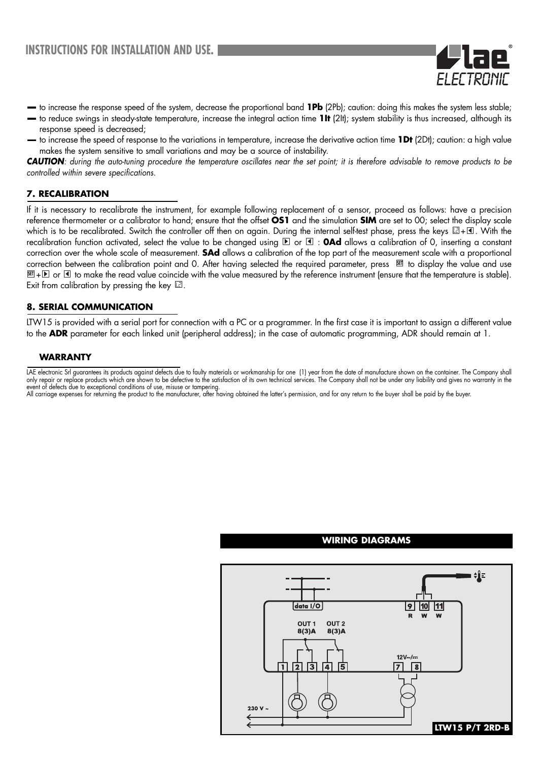

- to increase the response speed of the system, decrease the proportional band **1Pb** (2Pb); caution: doing this makes the system less stable;
- to reduce swings in steady-state temperature, increase the integral action time **1It** (2It); system stability is thus increased, although its response speed is decreased;
- to increase the speed of response to the variations in temperature, increase the derivative action time **1Dt** (2Dt); caution: a high value makes the system sensitive to small variations and may be a source of instability.

*CAUTION: during the auto-tuning procedure the temperature oscillates near the set point; it is therefore advisable to remove products to be controlled within severe specifications.* 

### **7. RECALIBRATION**

If it is necessary to recalibrate the instrument, for example following replacement of a sensor, proceed as follows: have a precision reference thermometer or a calibrator to hand; ensure that the offset **OS1** and the simulation **SIM** are set to 00; select the display scale which is to be recalibrated. Switch the controller off then on again. During the internal self-test phase, press the keys  $\boxtimes$  +  $\blacksquare$ . With the recalibration function activated, select the value to be changed using  $\mathbb D$  or  $\mathbb I$  : **0Ad** allows a calibration of 0, inserting a constant correction over the whole scale of measurement. **SAd** allows a calibration of the top part of the measurement scale with a proportional correction between the calibration point and 0. After having selected the required parameter, press     to display the value and use <u>আ</u> + D or ଏ to make the read value coincide with the value measured by the reference instrument (ensure that the temperature is stable). Exit from calibration by pressing the key  $\boxtimes$ .

#### **8. SERIAL COMMUNICATION**

LTW15 is provided with a serial port for connection with a PC or a programmer. In the first case it is important to assign a different value to the **ADR** parameter for each linked unit (peripheral address); in the case of automatic programming, ADR should remain at 1.

### **WARRANTY**



#### **WIRING DIAGRAMS**

LAE electronic Srl guarantees its products against defects due to faulty materials or workmanship for one (1) year from the date of manufacture shown on the container. The Company shall only repair or replace products which are shown to be defective to the satisfaction of its own technical services. The Company shall not be under any liability and gives no warranty in the event of defects due to exceptional conditions of use, misuse or tampering.

All carriage expenses for returning the product to the manufacturer, after having obtained the latter's permission, and for any return to the buyer shall be paid by the buyer.